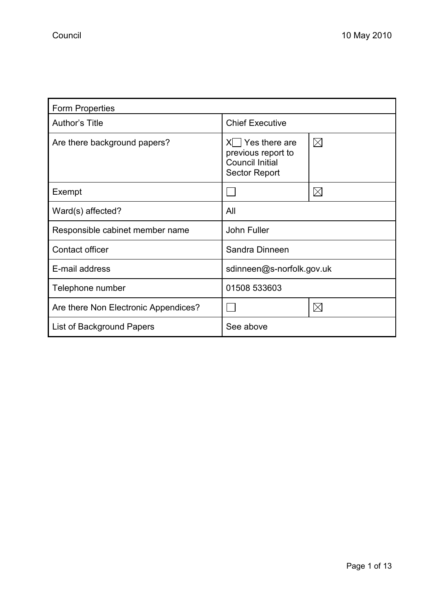| <b>Form Properties</b>               |                                                                                       |             |  |
|--------------------------------------|---------------------------------------------------------------------------------------|-------------|--|
| Author's Title                       | <b>Chief Executive</b>                                                                |             |  |
| Are there background papers?         | Yes there are<br>previous report to<br><b>Council Initial</b><br><b>Sector Report</b> | $\boxtimes$ |  |
| Exempt                               |                                                                                       | $\boxtimes$ |  |
| Ward(s) affected?                    | All                                                                                   |             |  |
| Responsible cabinet member name      | <b>John Fuller</b>                                                                    |             |  |
| Contact officer                      | Sandra Dinneen                                                                        |             |  |
| E-mail address                       | sdinneen@s-norfolk.gov.uk                                                             |             |  |
| Telephone number                     | 01508 533603                                                                          |             |  |
| Are there Non Electronic Appendices? |                                                                                       | $\boxtimes$ |  |
| List of Background Papers            | See above                                                                             |             |  |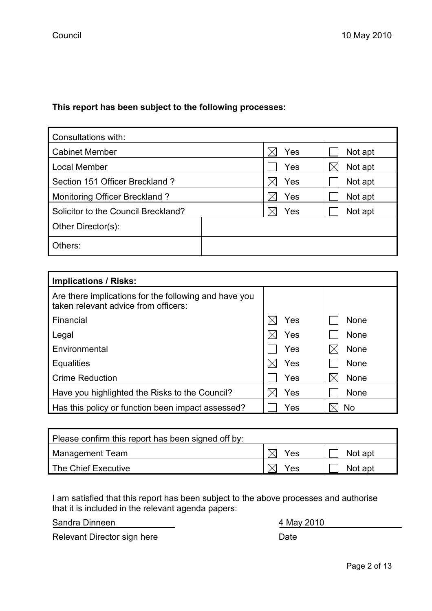# This report has been subject to the following processes:

| Consultations with:                 |  |     |  |         |
|-------------------------------------|--|-----|--|---------|
| <b>Cabinet Member</b>               |  | Yes |  | Not apt |
| Local Member                        |  | Yes |  | Not apt |
| Section 151 Officer Breckland ?     |  | Yes |  | Not apt |
| Monitoring Officer Breckland?       |  | Yes |  | Not apt |
| Solicitor to the Council Breckland? |  | Yes |  | Not apt |
| Other Director(s):                  |  |     |  |         |
| Others:                             |  |     |  |         |

| <b>Implications / Risks:</b>                                                                  |     |             |
|-----------------------------------------------------------------------------------------------|-----|-------------|
| Are there implications for the following and have you<br>taken relevant advice from officers: |     |             |
| Financial                                                                                     | Yes | <b>None</b> |
| Legal                                                                                         | Yes | <b>None</b> |
| Environmental                                                                                 | Yes | None        |
| <b>Equalities</b>                                                                             | Yes | None        |
| <b>Crime Reduction</b>                                                                        | Yes | None        |
| Have you highlighted the Risks to the Council?                                                | Yes | None        |
| Has this policy or function been impact assessed?                                             | Yes | <b>No</b>   |

| Please confirm this report has been signed off by: |     |         |  |
|----------------------------------------------------|-----|---------|--|
| Management Team                                    | Yes | Not apt |  |
| The Chief Executive                                | Yes | Not apt |  |

I am satisfied that this report has been subject to the above processes and authorise that it is included in the relevant agenda papers:

Sandra Dinneen 4 May 2010

Relevant Director sign here **Date** Date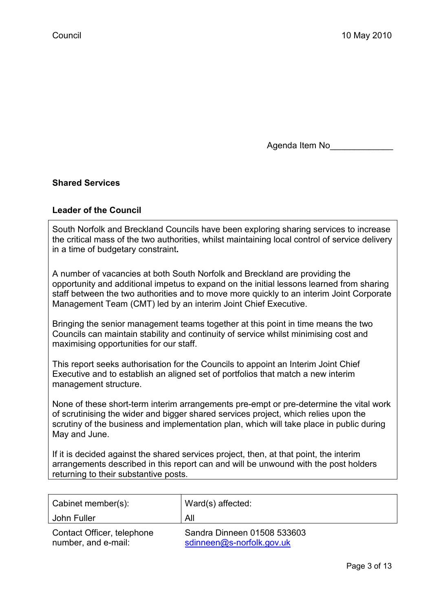Agenda Item No\_\_\_\_\_\_\_\_\_\_\_\_\_

## Shared Services

#### Leader of the Council

South Norfolk and Breckland Councils have been exploring sharing services to increase the critical mass of the two authorities, whilst maintaining local control of service delivery in a time of budgetary constraint.

A number of vacancies at both South Norfolk and Breckland are providing the opportunity and additional impetus to expand on the initial lessons learned from sharing staff between the two authorities and to move more quickly to an interim Joint Corporate Management Team (CMT) led by an interim Joint Chief Executive.

Bringing the senior management teams together at this point in time means the two Councils can maintain stability and continuity of service whilst minimising cost and maximising opportunities for our staff.

This report seeks authorisation for the Councils to appoint an Interim Joint Chief Executive and to establish an aligned set of portfolios that match a new interim management structure.

None of these short-term interim arrangements pre-empt or pre-determine the vital work of scrutinising the wider and bigger shared services project, which relies upon the scrutiny of the business and implementation plan, which will take place in public during May and June.

If it is decided against the shared services project, then, at that point, the interim arrangements described in this report can and will be unwound with the post holders returning to their substantive posts.

| Cabinet member(s):                                | Ward(s) affected:                                        |
|---------------------------------------------------|----------------------------------------------------------|
| John Fuller                                       | All                                                      |
| Contact Officer, telephone<br>number, and e-mail: | Sandra Dinneen 01508 533603<br>sdinneen@s-norfolk.gov.uk |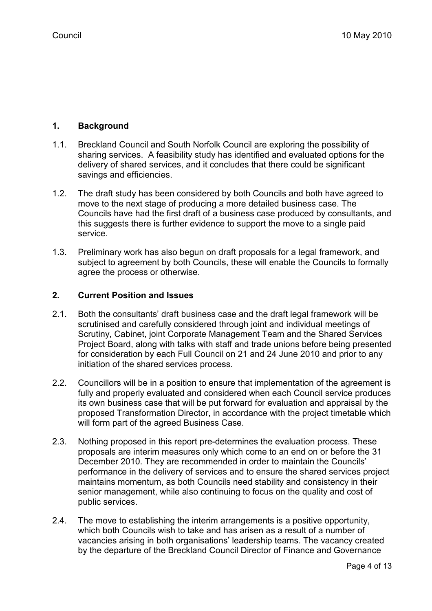# 1. Background

- 1.1. Breckland Council and South Norfolk Council are exploring the possibility of sharing services. A feasibility study has identified and evaluated options for the delivery of shared services, and it concludes that there could be significant savings and efficiencies.
- 1.2. The draft study has been considered by both Councils and both have agreed to move to the next stage of producing a more detailed business case. The Councils have had the first draft of a business case produced by consultants, and this suggests there is further evidence to support the move to a single paid service.
- 1.3. Preliminary work has also begun on draft proposals for a legal framework, and subject to agreement by both Councils, these will enable the Councils to formally agree the process or otherwise.

# 2. Current Position and Issues

- 2.1. Both the consultants' draft business case and the draft legal framework will be scrutinised and carefully considered through joint and individual meetings of Scrutiny, Cabinet, joint Corporate Management Team and the Shared Services Project Board, along with talks with staff and trade unions before being presented for consideration by each Full Council on 21 and 24 June 2010 and prior to any initiation of the shared services process.
- 2.2. Councillors will be in a position to ensure that implementation of the agreement is fully and properly evaluated and considered when each Council service produces its own business case that will be put forward for evaluation and appraisal by the proposed Transformation Director, in accordance with the project timetable which will form part of the agreed Business Case.
- 2.3. Nothing proposed in this report pre-determines the evaluation process. These proposals are interim measures only which come to an end on or before the 31 December 2010. They are recommended in order to maintain the Councils' performance in the delivery of services and to ensure the shared services project maintains momentum, as both Councils need stability and consistency in their senior management, while also continuing to focus on the quality and cost of public services.
- 2.4. The move to establishing the interim arrangements is a positive opportunity, which both Councils wish to take and has arisen as a result of a number of vacancies arising in both organisations' leadership teams. The vacancy created by the departure of the Breckland Council Director of Finance and Governance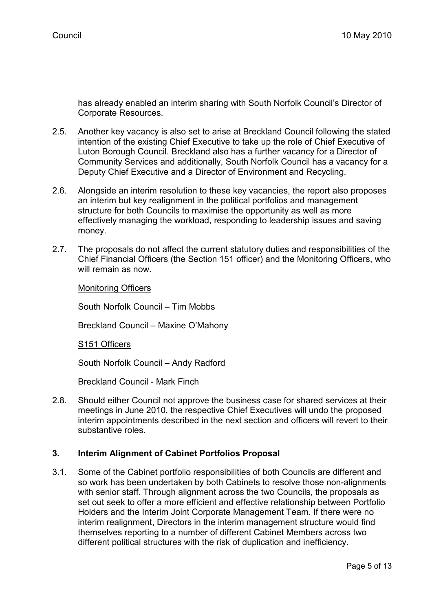has already enabled an interim sharing with South Norfolk Council's Director of Corporate Resources.

- 2.5. Another key vacancy is also set to arise at Breckland Council following the stated intention of the existing Chief Executive to take up the role of Chief Executive of Luton Borough Council. Breckland also has a further vacancy for a Director of Community Services and additionally, South Norfolk Council has a vacancy for a Deputy Chief Executive and a Director of Environment and Recycling.
- 2.6. Alongside an interim resolution to these key vacancies, the report also proposes an interim but key realignment in the political portfolios and management structure for both Councils to maximise the opportunity as well as more effectively managing the workload, responding to leadership issues and saving money.
- 2.7. The proposals do not affect the current statutory duties and responsibilities of the Chief Financial Officers (the Section 151 officer) and the Monitoring Officers, who will remain as now

Monitoring Officers

South Norfolk Council – Tim Mobbs

Breckland Council – Maxine O'Mahony

S151 Officers

South Norfolk Council – Andy Radford

Breckland Council - Mark Finch

2.8. Should either Council not approve the business case for shared services at their meetings in June 2010, the respective Chief Executives will undo the proposed interim appointments described in the next section and officers will revert to their substantive roles.

## 3. Interim Alignment of Cabinet Portfolios Proposal

3.1. Some of the Cabinet portfolio responsibilities of both Councils are different and so work has been undertaken by both Cabinets to resolve those non-alignments with senior staff. Through alignment across the two Councils, the proposals as set out seek to offer a more efficient and effective relationship between Portfolio Holders and the Interim Joint Corporate Management Team. If there were no interim realignment, Directors in the interim management structure would find themselves reporting to a number of different Cabinet Members across two different political structures with the risk of duplication and inefficiency.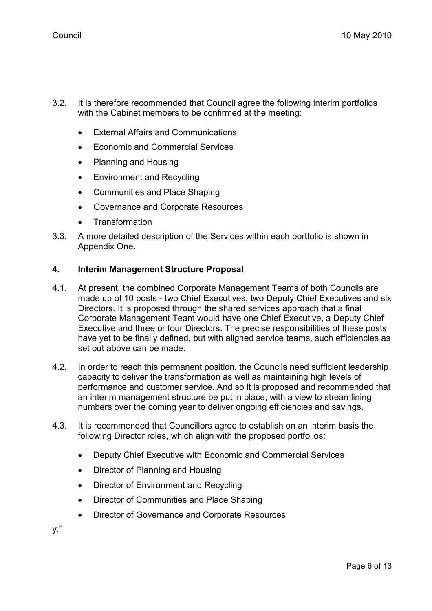- 3.2. It is therefore recommended that Council agree the following interim portfolios with the Cabinet members to be confirmed at the meeting:
	- External Affairs and Communications
	- Economic and Commercial Services
	- Planning and Housing
	- Environment and Recycling
	- Communities and Place Shaping
	- Governance and Corporate Resources
	- **Transformation**
- 3.3. A more detailed description of the Services within each portfolio is shown in Appendix One.

## 4. Interim Management Structure Proposal

- 4.1. At present, the combined Corporate Management Teams of both Councils are made up of 10 posts - two Chief Executives, two Deputy Chief Executives and six Directors. It is proposed through the shared services approach that a final Corporate Management Team would have one Chief Executive, a Deputy Chief Executive and three or four Directors. The precise responsibilities of these posts have yet to be finally defined, but with aligned service teams, such efficiencies as set out above can be made.
- 4.2. In order to reach this permanent position, the Councils need sufficient leadership capacity to deliver the transformation as well as maintaining high levels of performance and customer service. And so it is proposed and recommended that an interim management structure be put in place, with a view to streamlining numbers over the coming year to deliver ongoing efficiencies and savings.
- 4.3. It is recommended that Councillors agree to establish on an interim basis the following Director roles, which align with the proposed portfolios:
	- Deputy Chief Executive with Economic and Commercial Services
	- Director of Planning and Housing
	- Director of Environment and Recycling
	- Director of Communities and Place Shaping
	- Director of Governance and Corporate Resources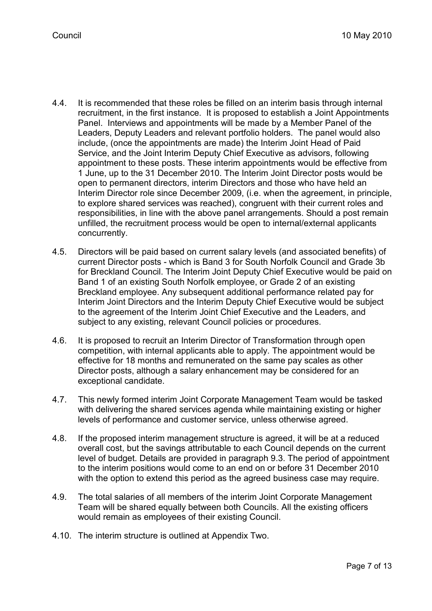- 4.4. It is recommended that these roles be filled on an interim basis through internal recruitment, in the first instance. It is proposed to establish a Joint Appointments Panel. Interviews and appointments will be made by a Member Panel of the Leaders, Deputy Leaders and relevant portfolio holders. The panel would also include, (once the appointments are made) the Interim Joint Head of Paid Service, and the Joint Interim Deputy Chief Executive as advisors, following appointment to these posts. These interim appointments would be effective from 1 June, up to the 31 December 2010. The Interim Joint Director posts would be open to permanent directors, interim Directors and those who have held an Interim Director role since December 2009, (i.e. when the agreement, in principle, to explore shared services was reached), congruent with their current roles and responsibilities, in line with the above panel arrangements. Should a post remain unfilled, the recruitment process would be open to internal/external applicants concurrently.
- 4.5. Directors will be paid based on current salary levels (and associated benefits) of current Director posts - which is Band 3 for South Norfolk Council and Grade 3b for Breckland Council. The Interim Joint Deputy Chief Executive would be paid on Band 1 of an existing South Norfolk employee, or Grade 2 of an existing Breckland employee. Any subsequent additional performance related pay for Interim Joint Directors and the Interim Deputy Chief Executive would be subject to the agreement of the Interim Joint Chief Executive and the Leaders, and subject to any existing, relevant Council policies or procedures.
- 4.6. It is proposed to recruit an Interim Director of Transformation through open competition, with internal applicants able to apply. The appointment would be effective for 18 months and remunerated on the same pay scales as other Director posts, although a salary enhancement may be considered for an exceptional candidate.
- 4.7. This newly formed interim Joint Corporate Management Team would be tasked with delivering the shared services agenda while maintaining existing or higher levels of performance and customer service, unless otherwise agreed.
- 4.8. If the proposed interim management structure is agreed, it will be at a reduced overall cost, but the savings attributable to each Council depends on the current level of budget. Details are provided in paragraph 9.3. The period of appointment to the interim positions would come to an end on or before 31 December 2010 with the option to extend this period as the agreed business case may require.
- 4.9. The total salaries of all members of the interim Joint Corporate Management Team will be shared equally between both Councils. All the existing officers would remain as employees of their existing Council.
- 4.10. The interim structure is outlined at Appendix Two.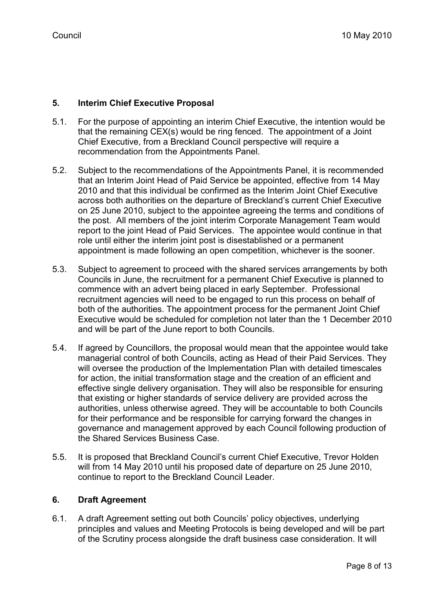# 5. Interim Chief Executive Proposal

- 5.1. For the purpose of appointing an interim Chief Executive, the intention would be that the remaining CEX(s) would be ring fenced. The appointment of a Joint Chief Executive, from a Breckland Council perspective will require a recommendation from the Appointments Panel.
- 5.2. Subject to the recommendations of the Appointments Panel, it is recommended that an Interim Joint Head of Paid Service be appointed, effective from 14 May 2010 and that this individual be confirmed as the Interim Joint Chief Executive across both authorities on the departure of Breckland's current Chief Executive on 25 June 2010, subject to the appointee agreeing the terms and conditions of the post. All members of the joint interim Corporate Management Team would report to the joint Head of Paid Services. The appointee would continue in that role until either the interim joint post is disestablished or a permanent appointment is made following an open competition, whichever is the sooner.
- 5.3. Subject to agreement to proceed with the shared services arrangements by both Councils in June, the recruitment for a permanent Chief Executive is planned to commence with an advert being placed in early September. Professional recruitment agencies will need to be engaged to run this process on behalf of both of the authorities. The appointment process for the permanent Joint Chief Executive would be scheduled for completion not later than the 1 December 2010 and will be part of the June report to both Councils.
- 5.4. If agreed by Councillors, the proposal would mean that the appointee would take managerial control of both Councils, acting as Head of their Paid Services. They will oversee the production of the Implementation Plan with detailed timescales for action, the initial transformation stage and the creation of an efficient and effective single delivery organisation. They will also be responsible for ensuring that existing or higher standards of service delivery are provided across the authorities, unless otherwise agreed. They will be accountable to both Councils for their performance and be responsible for carrying forward the changes in governance and management approved by each Council following production of the Shared Services Business Case.
- 5.5. It is proposed that Breckland Council's current Chief Executive, Trevor Holden will from 14 May 2010 until his proposed date of departure on 25 June 2010, continue to report to the Breckland Council Leader.

## 6. Draft Agreement

6.1. A draft Agreement setting out both Councils' policy objectives, underlying principles and values and Meeting Protocols is being developed and will be part of the Scrutiny process alongside the draft business case consideration. It will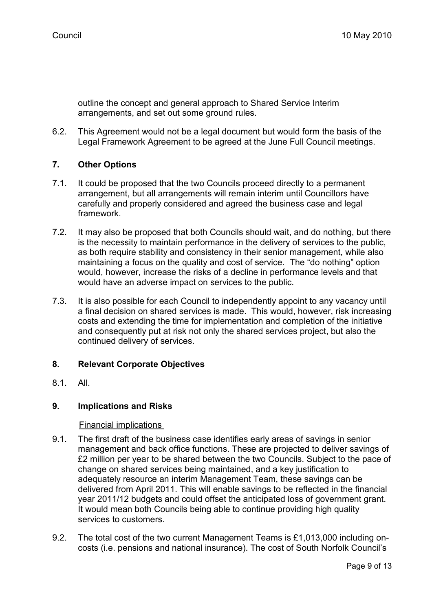outline the concept and general approach to Shared Service Interim arrangements, and set out some ground rules.

6.2. This Agreement would not be a legal document but would form the basis of the Legal Framework Agreement to be agreed at the June Full Council meetings.

# 7. Other Options

- 7.1. It could be proposed that the two Councils proceed directly to a permanent arrangement, but all arrangements will remain interim until Councillors have carefully and properly considered and agreed the business case and legal framework.
- 7.2. It may also be proposed that both Councils should wait, and do nothing, but there is the necessity to maintain performance in the delivery of services to the public, as both require stability and consistency in their senior management, while also maintaining a focus on the quality and cost of service. The "do nothing" option would, however, increase the risks of a decline in performance levels and that would have an adverse impact on services to the public.
- 7.3. It is also possible for each Council to independently appoint to any vacancy until a final decision on shared services is made. This would, however, risk increasing costs and extending the time for implementation and completion of the initiative and consequently put at risk not only the shared services project, but also the continued delivery of services.

## 8. Relevant Corporate Objectives

8.1. All.

## 9. Implications and Risks

#### Financial implications

- 9.1. The first draft of the business case identifies early areas of savings in senior management and back office functions. These are projected to deliver savings of £2 million per year to be shared between the two Councils. Subject to the pace of change on shared services being maintained, and a key justification to adequately resource an interim Management Team, these savings can be delivered from April 2011. This will enable savings to be reflected in the financial year 2011/12 budgets and could offset the anticipated loss of government grant. It would mean both Councils being able to continue providing high quality services to customers.
- 9.2. The total cost of the two current Management Teams is £1,013,000 including oncosts (i.e. pensions and national insurance). The cost of South Norfolk Council's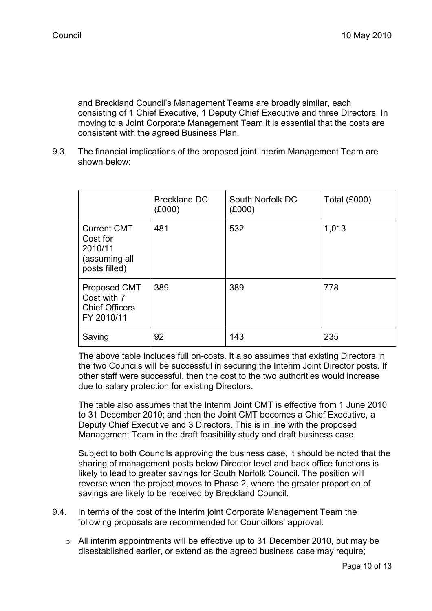and Breckland Council's Management Teams are broadly similar, each consisting of 1 Chief Executive, 1 Deputy Chief Executive and three Directors. In moving to a Joint Corporate Management Team it is essential that the costs are consistent with the agreed Business Plan.

9.3. The financial implications of the proposed joint interim Management Team are shown below:

|                                                                             | <b>Breckland DC</b><br>(E000) | South Norfolk DC<br>(E000) | <b>Total (£000)</b> |
|-----------------------------------------------------------------------------|-------------------------------|----------------------------|---------------------|
| <b>Current CMT</b><br>Cost for<br>2010/11<br>(assuming all<br>posts filled) | 481                           | 532                        | 1,013               |
| Proposed CMT<br>Cost with 7<br><b>Chief Officers</b><br>FY 2010/11          | 389                           | 389                        | 778                 |
| Saving                                                                      | 92                            | 143                        | 235                 |

 The above table includes full on-costs. It also assumes that existing Directors in the two Councils will be successful in securing the Interim Joint Director posts. If other staff were successful, then the cost to the two authorities would increase due to salary protection for existing Directors.

 The table also assumes that the Interim Joint CMT is effective from 1 June 2010 to 31 December 2010; and then the Joint CMT becomes a Chief Executive, a Deputy Chief Executive and 3 Directors. This is in line with the proposed Management Team in the draft feasibility study and draft business case.

 Subject to both Councils approving the business case, it should be noted that the sharing of management posts below Director level and back office functions is likely to lead to greater savings for South Norfolk Council. The position will reverse when the project moves to Phase 2, where the greater proportion of savings are likely to be received by Breckland Council.

- 9.4. In terms of the cost of the interim joint Corporate Management Team the following proposals are recommended for Councillors' approval:
	- $\circ$  All interim appointments will be effective up to 31 December 2010, but may be disestablished earlier, or extend as the agreed business case may require;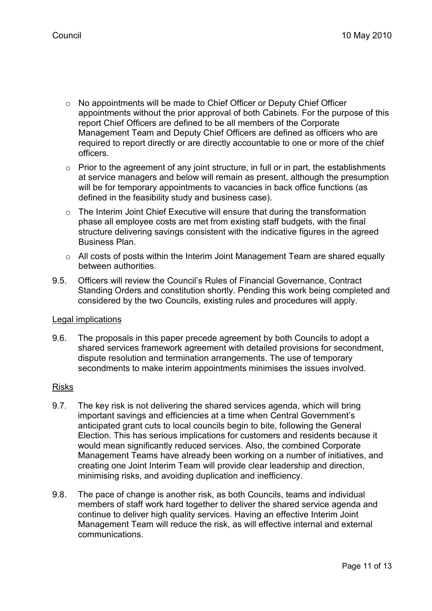- o No appointments will be made to Chief Officer or Deputy Chief Officer appointments without the prior approval of both Cabinets. For the purpose of this report Chief Officers are defined to be all members of the Corporate Management Team and Deputy Chief Officers are defined as officers who are required to report directly or are directly accountable to one or more of the chief officers.
- $\circ$  Prior to the agreement of any joint structure, in full or in part, the establishments at service managers and below will remain as present, although the presumption will be for temporary appointments to vacancies in back office functions (as defined in the feasibility study and business case).
- o The Interim Joint Chief Executive will ensure that during the transformation phase all employee costs are met from existing staff budgets, with the final structure delivering savings consistent with the indicative figures in the agreed Business Plan.
- $\circ$  All costs of posts within the Interim Joint Management Team are shared equally between authorities.
- 9.5. Officers will review the Council's Rules of Financial Governance, Contract Standing Orders and constitution shortly. Pending this work being completed and considered by the two Councils, existing rules and procedures will apply.

#### Legal implications

9.6. The proposals in this paper precede agreement by both Councils to adopt a shared services framework agreement with detailed provisions for secondment, dispute resolution and termination arrangements. The use of temporary secondments to make interim appointments minimises the issues involved.

#### Risks

- 9.7. The key risk is not delivering the shared services agenda, which will bring important savings and efficiencies at a time when Central Government's anticipated grant cuts to local councils begin to bite, following the General Election. This has serious implications for customers and residents because it would mean significantly reduced services. Also, the combined Corporate Management Teams have already been working on a number of initiatives, and creating one Joint Interim Team will provide clear leadership and direction, minimising risks, and avoiding duplication and inefficiency.
- 9.8. The pace of change is another risk, as both Councils, teams and individual members of staff work hard together to deliver the shared service agenda and continue to deliver high quality services. Having an effective Interim Joint Management Team will reduce the risk, as will effective internal and external communications.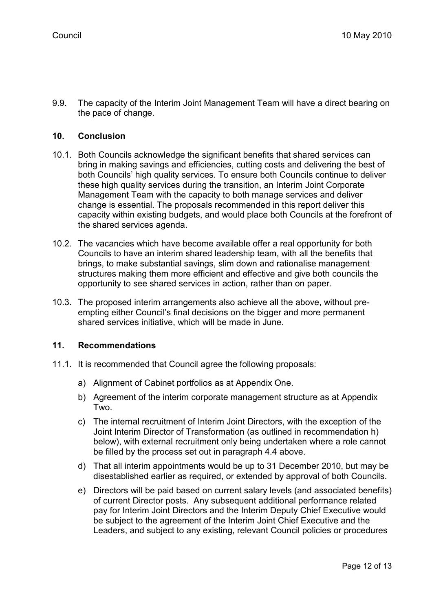9.9. The capacity of the Interim Joint Management Team will have a direct bearing on the pace of change.

#### 10. Conclusion

- 10.1. Both Councils acknowledge the significant benefits that shared services can bring in making savings and efficiencies, cutting costs and delivering the best of both Councils' high quality services. To ensure both Councils continue to deliver these high quality services during the transition, an Interim Joint Corporate Management Team with the capacity to both manage services and deliver change is essential. The proposals recommended in this report deliver this capacity within existing budgets, and would place both Councils at the forefront of the shared services agenda.
- 10.2. The vacancies which have become available offer a real opportunity for both Councils to have an interim shared leadership team, with all the benefits that brings, to make substantial savings, slim down and rationalise management structures making them more efficient and effective and give both councils the opportunity to see shared services in action, rather than on paper.
- 10.3. The proposed interim arrangements also achieve all the above, without preempting either Council's final decisions on the bigger and more permanent shared services initiative, which will be made in June.

### 11. Recommendations

- 11.1. It is recommended that Council agree the following proposals:
	- a) Alignment of Cabinet portfolios as at Appendix One.
	- b) Agreement of the interim corporate management structure as at Appendix Two.
	- c) The internal recruitment of Interim Joint Directors, with the exception of the Joint Interim Director of Transformation (as outlined in recommendation h) below), with external recruitment only being undertaken where a role cannot be filled by the process set out in paragraph 4.4 above.
	- d) That all interim appointments would be up to 31 December 2010, but may be disestablished earlier as required, or extended by approval of both Councils.
	- e) Directors will be paid based on current salary levels (and associated benefits) of current Director posts. Any subsequent additional performance related pay for Interim Joint Directors and the Interim Deputy Chief Executive would be subject to the agreement of the Interim Joint Chief Executive and the Leaders, and subject to any existing, relevant Council policies or procedures